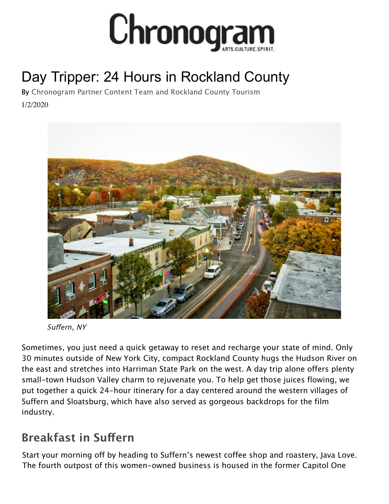

# Day [Tripper: 24 Hours in Rockland County](https://media2.fdncms.com/chronogram/imager/u/original/9653477/mmphoto_suffern_autumn_1_1_.jpg)

1/2/2020 By [Chronogram Partner Content Team](https://www.chronogram.com/author/chronogram-partner-content-team) and [Rockland County Tourism](https://www.chronogram.com/author/rockland-county-tourism)



Suffern, NY

Sometimes, you just need a quick getaway to reset and recharge your state of mind. Only 30 minutes outside of New York City, compact Rockland County hugs the Hudson River on the east and stretches into Harriman State Park on the west. A day trip alone offers plenty small-town Hudson Valley charm to rejuvenate you. To help get those juices flowing, we put together a quick 24-hour itinerary for a day centered around the western villages of Suffern and Sloatsburg, which have also served as gorgeous backdrops for the film industry.

#### **Breakfast in Suffern**

Start your morning off by heading to Suffern's newest coffee shop and roastery, Java Love. The fourth outpost of this women-owned business is housed in the former Capitol One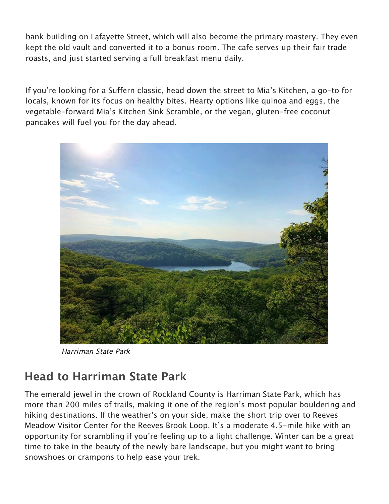bank building on Lafayette Street, which will also become the primary roastery. They even kept the old vault and converted it to a bonus room. The cafe serves up their fair trade roasts, and just started serving a full breakfast menu daily.

If you're looking for a Suffern classic, head down the street to Mia's Kitchen, a go-to for locals, known for its focus on healthy bites. Hearty options like quinoa and eggs, the vegetable-forward Mia's Kitchen Sink Scramble, or the vegan, gluten-free coconut pancakes will fuel you for the day ahead.



Harriman State Park

#### **Head to Harriman State Park**

The emerald jewel in the crown of Rockland County is Harriman State Park, which has more than 200 miles of trails, making it one of the region's most popular bouldering and hiking destinations. If the weather's on your side, make the short trip over to Reeves Meadow Visitor Center for the Reeves Brook Loop. It's a moderate 4.5-mile hike with an opportunity for scrambling if you're feeling up to a light challenge. Winter can be a great time to take in the beauty of the newly bare landscape, but you might want to bring snowshoes or crampons to help ease your trek.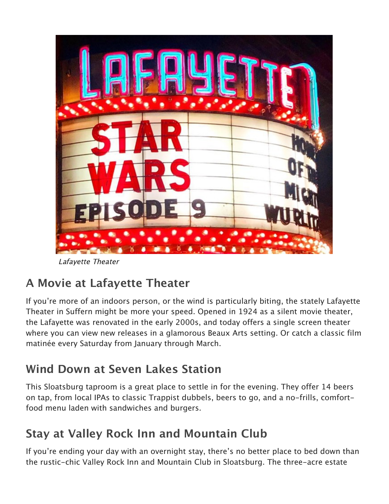

Lafayette Theater

# **A Movie at Lafayette Theater**

If you're more of an indoors person, or the wind is particularly biting, the stately Lafayette [Theater in Suffern might be more your speed. Opened in 1924 as a silent movie theater,](http://www.lafayettetheatersuffern.com/)  the Lafayette was renovated in the early 2000s, and today offers a single screen theater [where you can view new releases in a glamorous Beaux Arts setting. Or catch a clas](http://www.lafayettetheatersuffern.com/12390/Winter-Classics-2020)sic film matinée every Saturday from January through March.

# **Wind Down at Seven Lakes Station**

This Sloatsburg taproom is a great place to settle in for the evening. They offer 14 beers on tap, from local IPAs to classic Trappist dubbels, beers to go, and a no-frills, comfortfood menu laden with sandwiches and burgers.

# **Stay at Valley Rock Inn and Mountain Club**

If you're ending your day with an overnight stay, there's no better place to bed down than the rustic-chic Valley Rock Inn and Mountain Club in Sloatsburg. The three-acre estate